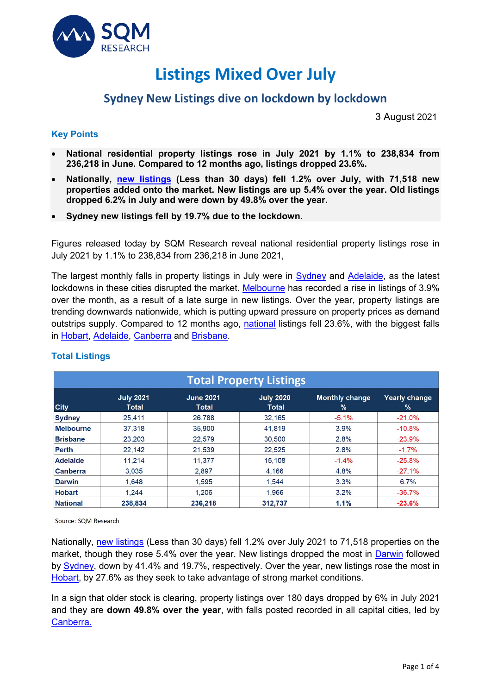

# **Listings Mixed Over July**

## **Sydney New Listings dive on lockdown by lockdown**

3 August 2021

### **Key Points**

- **National residential property listings rose in July 2021 by 1.1% to 238,834 from 236,218 in June. Compared to 12 months ago, listings dropped 23.6%.**
- **Nationally, [new listings](https://sqmresearch.com.au/total-property-listings.php?national=1&t=1) (Less than 30 days) fell 1.2% over July, with 71,518 new properties added onto the market. New listings are up 5.4% over the year. Old listings dropped 6.2% in July and were down by 49.8% over the year.**
- **Sydney new listings fell by 19.7% due to the lockdown.**

Figures released today by SQM Research reveal national residential property listings rose in July 2021 by 1.1% to 238,834 from 236,218 in June 2021,

The largest monthly falls in property listings in July were in [Sydney](https://sqmresearch.com.au/total-property-listings.php?region=nsw%3A%3ASydney&type=c&t=1) and [Adelaide,](https://sqmresearch.com.au/total-property-listings.php?region=sa%3A%3AAdelaide&type=c&t=1) as the latest lockdowns in these cities disrupted the market. [Melbourne](https://sqmresearch.com.au/total-property-listings.php?region=vic%3A%3AMelbourne&type=c&t=1) has recorded a rise in listings of 3.9% over the month, as a result of a late surge in new listings. Over the year, property listings are trending downwards nationwide, which is putting upward pressure on property prices as demand outstrips supply. Compared to 12 months ago, [national](https://sqmresearch.com.au/total-property-listings.php?national=1&t=1) listings fell 23.6%, with the biggest falls in [Hobart,](https://sqmresearch.com.au/total-property-listings.php?region=tas%3A%3AHobart&type=c&t=1) [Adelaide,](https://sqmresearch.com.au/total-property-listings.php?region=sa%3A%3AAdelaide&type=c&t=1) [Canberra](https://sqmresearch.com.au/total-property-listings.php?region=act%3A%3ACanberra&type=c&t=1) and [Brisbane.](https://sqmresearch.com.au/total-property-listings.php?region=qld%3A%3ABrisbane&type=c&t=1)

| <b>Total Property Listings</b> |                           |                           |                                  |                               |                                       |  |
|--------------------------------|---------------------------|---------------------------|----------------------------------|-------------------------------|---------------------------------------|--|
| <b>City</b>                    | <b>July 2021</b><br>Total | <b>June 2021</b><br>Total | <b>July 2020</b><br><b>Total</b> | <b>Monthly change</b><br>$\%$ | <b>Yearly change</b><br>$\frac{9}{6}$ |  |
| <b>Sydney</b>                  | 25,411                    | 26,788                    | 32,165                           | $-5.1%$                       | $-21.0%$                              |  |
| <b>Melbourne</b>               | 37,318                    | 35,900                    | 41,819                           | 3.9%                          | $-10.8%$                              |  |
| <b>Brisbane</b>                | 23.203                    | 22.579                    | 30,500                           | 2.8%                          | $-23.9%$                              |  |
| Perth                          | 22,142                    | 21,539                    | 22,525                           | 2.8%                          | $-1.7%$                               |  |
| <b>Adelaide</b>                | 11.214                    | 11.377                    | 15.108                           | $-1.4%$                       | $-25.8%$                              |  |
| <b>Canberra</b>                | 3.035                     | 2.897                     | 4.166                            | 4.8%                          | $-27.1%$                              |  |
| <b>Darwin</b>                  | 1.648                     | 1.595                     | 1.544                            | 3.3%                          | 6.7%                                  |  |
| <b>Hobart</b>                  | 1.244                     | 1.206                     | 1.966                            | 3.2%                          | $-36.7%$                              |  |
| <b>National</b>                | 238,834                   | 236,218                   | 312,737                          | 1.1%                          | $-23.6%$                              |  |

## **Total Listings**

Source: SQM Research

Nationally, [new listings](https://sqmresearch.com.au/total-property-listings.php?national=1&t=1&utm_source=SQM+Research+Weekly+Newsletter&utm_campaign=f46bd42d05-EMAIL_CAMPAIGN_2021_04_14_06_20_COPY_01&utm_medium=email&utm_term=0_827352cac6-f46bd42d05-61049720) (Less than 30 days) fell 1.2% over July 2021 to 71,518 properties on the market, though they rose 5.4% over the year. New listings dropped the most in [Darwin](https://sqmresearch.com.au/total-property-listings.php?region=nt%3A%3ADarwin&type=c&t=1) followed by [Sydney,](https://sqmresearch.com.au/total-property-listings.php?region=nsw%3A%3ASydney&type=c&t=1) down by 41.4% and 19.7%, respectively. Over the year, new listings rose the most in [Hobart,](https://sqmresearch.com.au/total-property-listings.php?region=tas%3A%3AHobart&type=c&t=1) by 27.6% as they seek to take advantage of strong market conditions.

In a sign that older stock is clearing, property listings over 180 days dropped by 6% in July 2021 and they are **down 49.8% over the year**, with falls posted recorded in all capital cities, led by [Canberra.](https://sqmresearch.com.au/total-property-listings.php?region=act%3A%3ACanberra&type=c&t=1)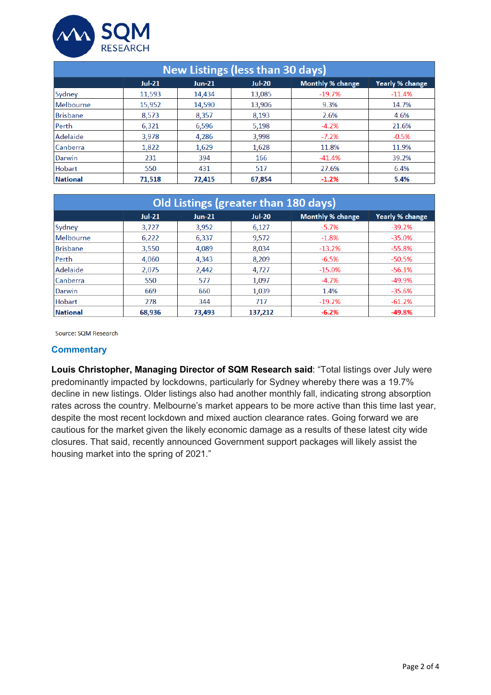

| <b>New Listings (less than 30 days)</b> |          |          |               |                  |                 |  |
|-----------------------------------------|----------|----------|---------------|------------------|-----------------|--|
|                                         | $Jul-21$ | $Jun-21$ | <b>Jul-20</b> | Monthly % change | Yearly % change |  |
| Sydney                                  | 11,593   | 14,434   | 13,085        | $-19.7%$         | $-11.4%$        |  |
| Melbourne                               | 15,952   | 14,590   | 13,906        | 9.3%             | 14.7%           |  |
| Brisbane                                | 8,573    | 8,357    | 8,193         | 2.6%             | 4.6%            |  |
| Perth                                   | 6,321    | 6,596    | 5,198         | $-4.2%$          | 21.6%           |  |
| Adelaide                                | 3,978    | 4,286    | 3,998         | $-7.2%$          | $-0.5%$         |  |
| <b>Canberra</b>                         | 1,822    | 1,629    | 1,628         | 11.8%            | 11.9%           |  |
| Darwin                                  | 231      | 394      | 166           | $-41.4%$         | 39.2%           |  |
| Hobart                                  | 550      | 431      | 517           | 27.6%            | 6.4%            |  |
| <b>National</b>                         | 71,518   | 72,415   | 67,854        | $-1.2%$          | 5.4%            |  |

| Old Listings (greater than 180 days) |          |          |               |                  |                 |
|--------------------------------------|----------|----------|---------------|------------------|-----------------|
|                                      | $Jul-21$ | $Jun-21$ | <b>Jul-20</b> | Monthly % change | Yearly % change |
| Sydney                               | 3,727    | 3,952    | 6,127         | $-5.7%$          | $-39.2%$        |
| Melbourne                            | 6,222    | 6,337    | 9,572         | $-1.8%$          | $-35.0%$        |
| <b>Brisbane</b>                      | 3,550    | 4.089    | 8.034         | $-13.2%$         | $-55.8%$        |
| Perth                                | 4,060    | 4,343    | 8,209         | $-6.5%$          | $-50.5%$        |
| Adelaide                             | 2,075    | 2,442    | 4,727         | $-15.0%$         | $-56.1%$        |
| Canberra                             | 550      | 577      | 1.097         | $-4.7%$          | -49.9%          |
| Darwin                               | 669      | 660      | 1,039         | 1.4%             | $-35.6%$        |
| Hobart                               | 278      | 344      | 717           | $-19.2%$         | $-61.2%$        |
| National                             | 68.936   | 73.493   | 137,212       | $-6.2%$          | $-49.8%$        |

Source: SQM Research

#### **Commentary**

**Louis Christopher, Managing Director of SQM Research said**: "Total listings over July were predominantly impacted by lockdowns, particularly for Sydney whereby there was a 19.7% decline in new listings. Older listings also had another monthly fall, indicating strong absorption rates across the country. Melbourne's market appears to be more active than this time last year, despite the most recent lockdown and mixed auction clearance rates. Going forward we are cautious for the market given the likely economic damage as a results of these latest city wide closures. That said, recently announced Government support packages will likely assist the housing market into the spring of 2021."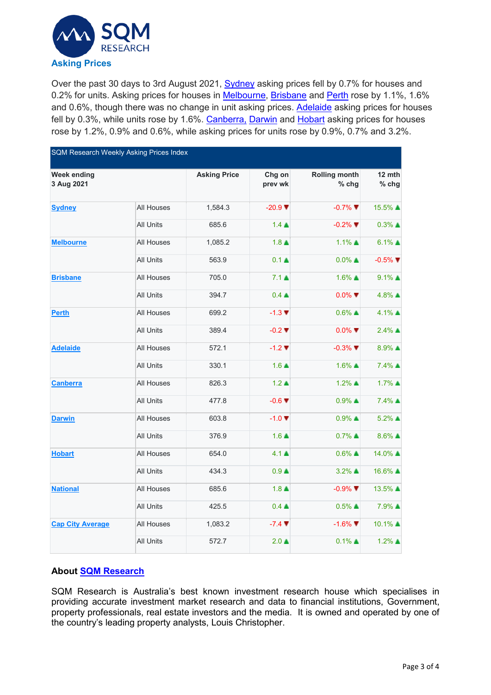

Over the past 30 days to 3rd August 2021, [Sydney](https://sqmresearch.com.au/asking-property-prices.php?region=nsw-Sydney&type=c&t=1) asking prices fell by 0.7% for houses and 0.2% for units. Asking prices for houses in [Melbourne,](https://sqmresearch.com.au/asking-property-prices.php?region=vic%3A%3AMelbourne&type=c&t=1) [Brisbane](https://sqmresearch.com.au/asking-property-prices.php?region=qld%3A%3ABrisbane&type=c&t=1) and [Perth](https://sqmresearch.com.au/asking-property-prices.php?region=wa%3A%3APerth&type=c&t=1) rose by 1.1%, 1.6% and 0.6%, though there was no change in unit asking prices. [Adelaide](https://sqmresearch.com.au/asking-property-prices.php?region=sa%3A%3AAdelaide&type=c&t=1) asking prices for houses fell by 0.3%, while units rose by 1.6%. [Canberra,](https://sqmresearch.com.au/asking-property-prices.php?region=act%3A%3ACanberra&type=c&t=1) [Darwin](https://sqmresearch.com.au/asking-property-prices.php?region=nt%3A%3ADarwin&type=c&t=1) and [Hobart](https://sqmresearch.com.au/asking-property-prices.php?region=tas%3A%3AHobart&type=c&t=1) asking prices for houses rose by 1.2%, 0.9% and 0.6%, while asking prices for units rose by 0.9%, 0.7% and 3.2%.

| <b>SQM Research Weekly Asking Prices Index</b> |                  |                     |                              |                               |                     |  |
|------------------------------------------------|------------------|---------------------|------------------------------|-------------------------------|---------------------|--|
| <b>Week ending</b><br>3 Aug 2021               |                  | <b>Asking Price</b> | Chg on<br>prev wk            | <b>Rolling month</b><br>% chg | 12 mth<br>% chg     |  |
| <b>Sydney</b>                                  | All Houses       | 1,584.3             | $-20.9$ $\blacktriangledown$ | $-0.7\%$ $\nabla$             | 15.5% ▲             |  |
|                                                | All Units        | 685.6               | $1.4 \triangle$              | $-0.2\%$                      | $0.3\%$ $\triangle$ |  |
| <b>Melbourne</b>                               | All Houses       | 1,085.2             | $1.8 \triangle$              | $1.1\%$ $\triangle$           | $6.1\%$ $\triangle$ |  |
|                                                | All Units        | 563.9               | $0.1 \triangleq$             | $0.0\%$ $\triangle$           | $-0.5\%$            |  |
| <b>Brisbane</b>                                | All Houses       | 705.0               | $7.1 \triangleq$             | $1.6\%$ $\triangle$           | $9.1\%$ $\triangle$ |  |
|                                                | All Units        | 394.7               | $0.4 \triangle$              | $0.0\%$                       | $4.8\%$ $\triangle$ |  |
| <b>Perth</b>                                   | All Houses       | 699.2               | $-1.3$ $\P$                  | $0.6\%$ $\triangle$           | $4.1\%$ $\triangle$ |  |
|                                                | All Units        | 389.4               | $-0.2$ $\blacktriangledown$  | $0.0\%$                       | $2.4\%$ ▲           |  |
| <b>Adelaide</b>                                | All Houses       | 572.1               | $-1.2$ $\P$                  | $-0.3\%$                      | $8.9\%$ $\triangle$ |  |
|                                                | <b>All Units</b> | 330.1               | $1.6 \triangle$              | $1.6\%$ ▲                     | 7.4% ▲              |  |
| <b>Canberra</b>                                | All Houses       | 826.3               | $1.2 \triangle$              | $1.2\%$ $\triangle$           | $1.7\%$ $\triangle$ |  |
|                                                | All Units        | 477.8               | $-0.6$ $\blacktriangledown$  | $0.9\%$ $\triangle$           | 7.4% ▲              |  |
| <b>Darwin</b>                                  | All Houses       | 603.8               | $-1.0$ $\blacktriangledown$  | $0.9\%$ $\triangle$           | $5.2\%$ $\triangle$ |  |
|                                                | All Units        | 376.9               | $1.6 \triangle$              | $0.7\%$ $\triangle$           | $8.6\%$ $\triangle$ |  |
| <b>Hobart</b>                                  | All Houses       | 654.0               | $4.1 \triangle$              | $0.6\%$ $\triangle$           | 14.0% ▲             |  |
|                                                | All Units        | 434.3               | $0.9+$                       | $3.2\%$ $\triangle$           | 16.6% ▲             |  |
| <b>National</b>                                | All Houses       | 685.6               | $1.8 \triangle$              | $-0.9\%$                      | 13.5% ▲             |  |
|                                                | <b>All Units</b> | 425.5               | $0.4 \triangle$              | $0.5\%$ $\triangle$           | 7.9% ▲              |  |
| <b>Cap City Average</b>                        | All Houses       | 1,083.2             | $-7.4$ $\blacktriangledown$  | $-1.6\%$                      | 10.1% ▲             |  |
|                                                | All Units        | 572.7               | $2.0 \triangle$              | $0.1\%$ $\triangle$           | $1.2\%$ $\triangle$ |  |

## **About [SQM Research](http://www.sqmresearch.com.au/)**

SQM Research is Australia's best known investment research house which specialises in providing accurate investment market research and data to financial institutions, Government, property professionals, real estate investors and the media. It is owned and operated by one of the country's leading property analysts, Louis Christopher.